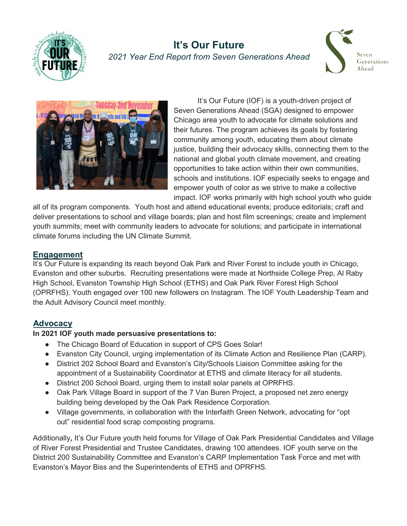

# **It's Our Future** *2021 Year End Report from Seven Generations Ahead*





It's Our Future (IOF) is a youth-driven project of Seven Generations Ahead (SGA) designed to empower Chicago area youth to advocate for climate solutions and their futures. The program achieves its goals by fostering community among youth, educating them about climate justice, building their advocacy skills, connecting them to the national and global youth climate movement, and creating opportunities to take action within their own communities, schools and institutions. IOF especially seeks to engage and empower youth of color as we strive to make a collective impact. IOF works primarily with high school youth who guide

all of its program components. Youth host and attend educational events; produce editorials; craft and deliver presentations to school and village boards; plan and host film screenings; create and implement youth summits; meet with community leaders to advocate for solutions; and participate in international climate forums including the UN Climate Summit.

#### **Engagement**

It's Our Future is expanding its reach beyond Oak Park and River Forest to include youth in Chicago, Evanston and other suburbs. Recruiting presentations were made at Northside College Prep, Al Raby High School, Evanston Township High School (ETHS) and Oak Park River Forest High School (OPRFHS). Youth engaged over 100 new followers on Instagram. The IOF Youth Leadership Team and the Adult Advisory Council meet monthly.

## **Advocacy**

## **In 2021 IOF youth made persuasive presentations to:**

- The Chicago Board of Education in support of CPS Goes Solar!
- Evanston City Council, urging implementation of its Climate Action and Resilience Plan (CARP).
- District 202 School Board and Evanston's City/Schools Liaison Committee asking for the appointment of a Sustainability Coordinator at ETHS and climate literacy for all students.
- District 200 School Board, urging them to install solar panels at OPRFHS.
- Oak Park Village Board in support of the 7 Van Buren Project, a proposed net zero energy building being developed by the Oak Park Residence Corporation.
- Village governments, in collaboration with the Interfaith Green Network, advocating for "opt out" residential food scrap composting programs.

Additionally**,** It's Our Future youth held forums for Village of Oak Park Presidential Candidates and Village of River Forest Presidential and Trustee Candidates, drawing 100 attendees. IOF youth serve on the District 200 Sustainability Committee and Evanston's CARP Implementation Task Force and met with Evanston's Mayor Biss and the Superintendents of ETHS and OPRFHS.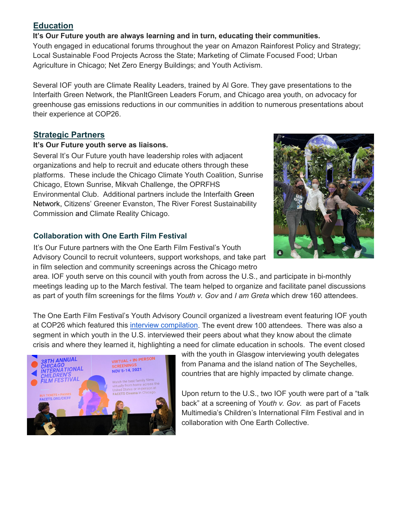## **Education**

#### **It's Our Future youth are always learning and in turn, educating their communities.**

Youth engaged in educational forums throughout the year on Amazon Rainforest Policy and Strategy; Local Sustainable Food Projects Across the State; Marketing of Climate Focused Food; Urban Agriculture in Chicago; Net Zero Energy Buildings; and Youth Activism.

Several IOF youth are Climate Reality Leaders, trained by Al Gore. They gave presentations to the Interfaith Green Network, the PlanItGreen Leaders Forum, and Chicago area youth, on advocacy for greenhouse gas emissions reductions in our communities in addition to numerous presentations about their experience at COP26.

# **Strategic Partners**

#### **It's Our Future youth serve as liaisons.**

Several It's Our Future youth have leadership roles with adjacent organizations and help to recruit and educate others through these platforms. These include the Chicago Climate Youth Coalition, Sunrise Chicago, Etown Sunrise, Mikvah Challenge, the OPRFHS Environmental Club. Additional partners include the Interfaith Green Network, Citizens' Greener Evanston, The River Forest Sustainability Commission and Climate Reality Chicago.

# **Collaboration with One Earth Film Festival**

It's Our Future partners with the One Earth Film Festival's Youth Advisory Council to recruit volunteers, support workshops, and take part in film selection and community screenings across the Chicago metro

area. IOF youth serve on this council with youth from across the U.S., and participate in bi-monthly meetings leading up to the March festival. The team helped to organize and facilitate panel discussions as part of youth film screenings for the films *Youth v. Gov* and *I am Greta* which drew 160 attendees.

The One Earth Film Festival's Youth Advisory Council organized a livestream event featuring IOF youth at COP26 which featured this [interview compilation.](https://vimeo.com/642195711/7ff9bcda03) The event drew 100 attendees. There was also a segment in which youth in the U.S. interviewed their peers about what they know about the climate crisis and where they learned it, highlighting a need for climate education in schools. The event closed



with the youth in Glasgow interviewing youth delegates from Panama and the island nation of The Seychelles, countries that are highly impacted by climate change.

Upon return to the U.S., two IOF youth were part of a "talk back" at a screening of *Youth v. Gov.* as part of Facets Multimedia's Children's International Film Festival and in collaboration with One Earth Collective.